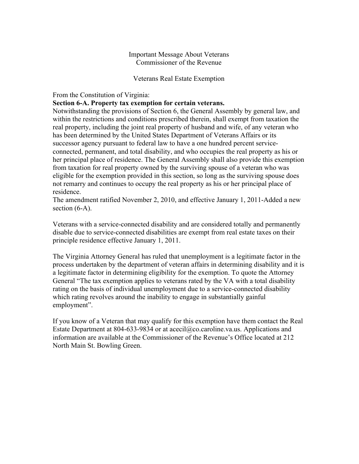# Important Message About Veterans Commissioner of the Revenue

### Veterans Real Estate Exemption

## From the Constitution of Virginia:

### **Section 6-A. Property tax exemption for certain veterans.**

Notwithstanding the provisions of Section 6, the General Assembly by general law, and within the restrictions and conditions prescribed therein, shall exempt from taxation the real property, including the joint real property of husband and wife, of any veteran who has been determined by the United States Department of Veterans Affairs or its successor agency pursuant to federal law to have a one hundred percent serviceconnected, permanent, and total disability, and who occupies the real property as his or her principal place of residence. The General Assembly shall also provide this exemption from taxation for real property owned by the surviving spouse of a veteran who was eligible for the exemption provided in this section, so long as the surviving spouse does not remarry and continues to occupy the real property as his or her principal place of residence.

The amendment ratified November 2, 2010, and effective January 1, 2011-Added a new section  $(6-A)$ .

Veterans with a service-connected disability and are considered totally and permanently disable due to service-connected disabilities are exempt from real estate taxes on their principle residence effective January 1, 2011.

The Virginia Attorney General has ruled that unemployment is a legitimate factor in the process undertaken by the department of veteran affairs in determining disability and it is a legitimate factor in determining eligibility for the exemption. To quote the Attorney General "The tax exemption applies to veterans rated by the VA with a total disability rating on the basis of individual unemployment due to a service-connected disability which rating revolves around the inability to engage in substantially gainful employment".

If you know of a Veteran that may qualify for this exemption have them contact the Real Estate Department at 804-633-9834 or at acecil@co.caroline.va.us. Applications and information are available at the Commissioner of the Revenue's Office located at 212 North Main St. Bowling Green.